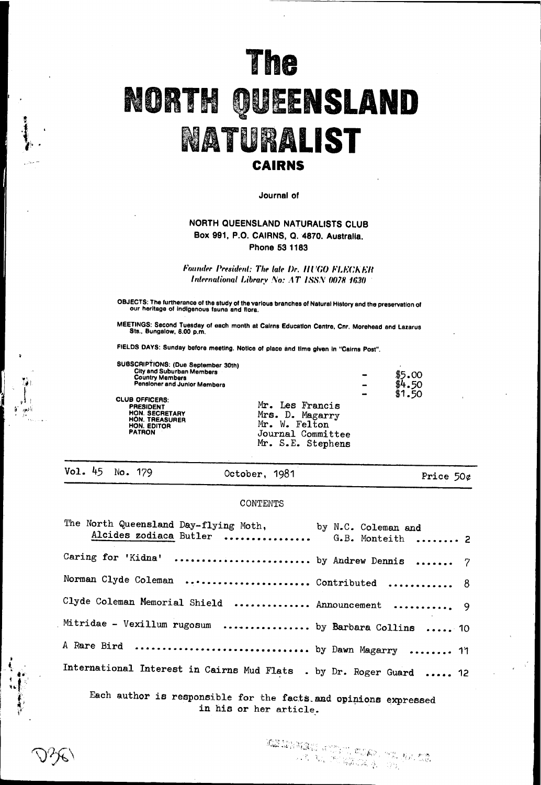# The **NORTH QUEENSLAND** NATURALIST **CAIRNS**

Journal of

# NORTH QUEENSLAND NATURALISTS CLUB Box 991, P.O. CAIRNS, Q. 4870. Australia. Phone 53 1183

Founder President: The late Dr. HUGO FLECKER International Library No: AT ISSN 0078 1630

OBJECTS: The furtherance of the study of the various branches of Natural History and the preservation of our heritage of indigenous fauna and flora.

MEETINGS: Second Tuesday of each month at Cairns Education Centre, Cnr. Morehead and Lazarus Sts., Bungalow, 8.00 p.m.

FIELDS DAYS: Sunday before meeting. Notice of place and time given in "Cairns Post".

SUBSCRIPTIONS: (Due September 30th) City and Suburban Members<br>Country Members<br>Pensioner and Junior Members **CLUB OFFICERS:** 

**JB OFFICERS:<br>PRESIDENT<br>HON. SECRETARY<br>HON. TREASURER<br>HON. EDITOR<br>PATRON** 

Mr. Les Francis Mrs. D. Magarry<br>Mr. W. Felton Journal Committee Mr. S.E. Stephens

Vol. 45 No. 179

ا<br>أالمويو<br>المعمولا

October, 1981

Price  $50¢$ 

\$5.00  $\frac{17}{64.50}$ <br>\$1.50

# **CONTENTS**

| The North Queensland Day-flying Moth, by N.C. Coleman and Alcides zodiaca Butler  G.B. Monteith  2 |  |
|----------------------------------------------------------------------------------------------------|--|
| Caring for 'Kidna'  by Andrew Dennis  7                                                            |  |
| Norman Clyde Coleman  Contributed  8                                                               |  |
| Clyde Coleman Memorial Shield  Announcement  9                                                     |  |
| Mitridae - Vexillum rugosum  by Barbara Collins  10                                                |  |
| A Rare Bird  by Dawn Magarry  11                                                                   |  |
| International Interest in Cairns Mud Flats . by Dr. Roger Guard  12                                |  |
|                                                                                                    |  |

Each author is responsible for the facts and opinions expressed in his or her article.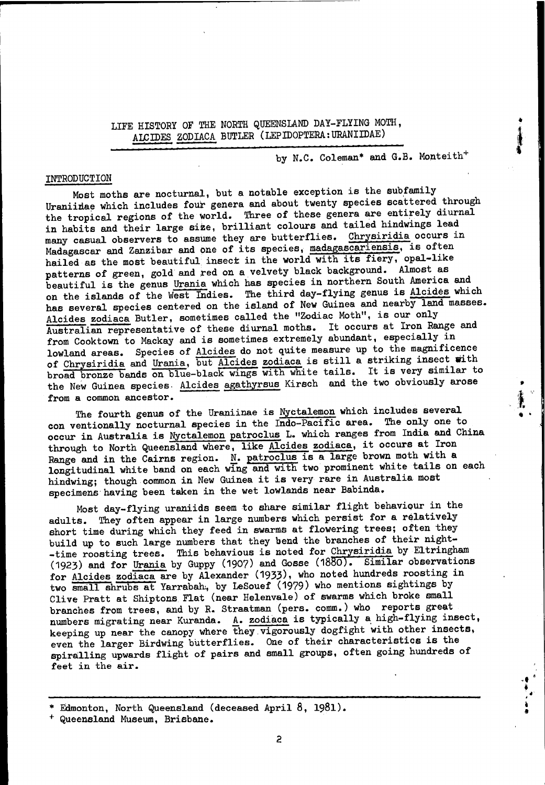LIFE HISTORY OF THE NORTH QUEENSLAND DAY-FLYING MOTH, AICIDES ZODIACA BUTLER (LEPIDOPTERA: URANIIDAE)

by N.C. Coleman\* and G.B. Monteith<sup>+</sup>

#### INTRODUCTION

Most moths are nocturnal, but a notable exception is the subfamily Uraniinae which includes four genera and about twenty species scattered through the tropical regions of the world. Three of these genera are entirely diurnal in habits and their large size, brilliant colours and tailed hindwings lead many casual observers to assume they are butterflies. Chrysiridia occurs in Madagascar and Zanzibar and one of its species, madagascariensis, is often hailed as the most beautiful insect in the world with its fiery, opal-like patterns of green, gold and red on a velvety black background. Almost as beautiful is the genus Urania which has species in northern South America and on the islands of the West Indies. The third day-flying genus is Alcides which has several species centered on the island of New Guinea and nearby land masses. Alcides zodiaca Butler, sometimes called the "Zodiac Moth", is our only Australian representative of these diurnal moths. It occurs at Iron Range and from Cooktown to Mackay and is sometimes extremely abundant, especially in lowland areas. Species of Alcides do not quite measure up to the magnificence of Chrysiridia and Urania, but Alcides zodiaca is still a striking insect with broad bronze bands on blue-black wings with white tails. It is very similar to the New Guinea species. Alcides agathyrsus Kirsch and the two obviously arose from a common ancestor.

The fourth genus of the Uraniinae is Nyctalemon which includes several con ventionally nocturnal species in the Indo-Pacific area. The only one to occur in Australia is Nyctalemon patroclus L. which ranges from India and China through to North Queensland where, like Alcides zodiaca, it occurs at Iron Range and in the Cairns region. N. patroclus is a large brown moth with a longitudinal white band on each wing and with two prominent white tails on each hindwing; though common in New Guinea it is very rare in Australia most specimens having been taken in the wet lowlands near Babinda.

Most day-flying uraniids seem to share similar flight behaviour in the adults. They often appear in large numbers which persist for a relatively short time during which they feed in swarms at flowering trees; often they build up to such large numbers that they bend the branches of their night--time roosting trees. This behavious is noted for Chrysiridia by Eltringham (1923) and for Urania by Guppy (1907) and Gosse (1880). Similar observations for Alcides zodiaca are by Alexander (1933), who noted hundreds roosting in two small shrubs at Yarrabah., by LeSouef (1979) who mentions sightings by Clive Pratt at Shiptons Flat (near Helenvale) of swarms which broke small branches from trees, and by R. Straatman (pers. comm.) who reports great numbers migrating near Kuranda. A. zodiaca is typically a high-flying insect, keeping up near the canopy where they vigorously dogfight with other insects, even the larger Birdwing butterflies. One of their characteristics is the spiralling upwards flight of pairs and small groups, often going hundreds of feet in the air.

Edmonton, North Queensland (deceased April 8, 1981).

Queensland Museum, Brisbane.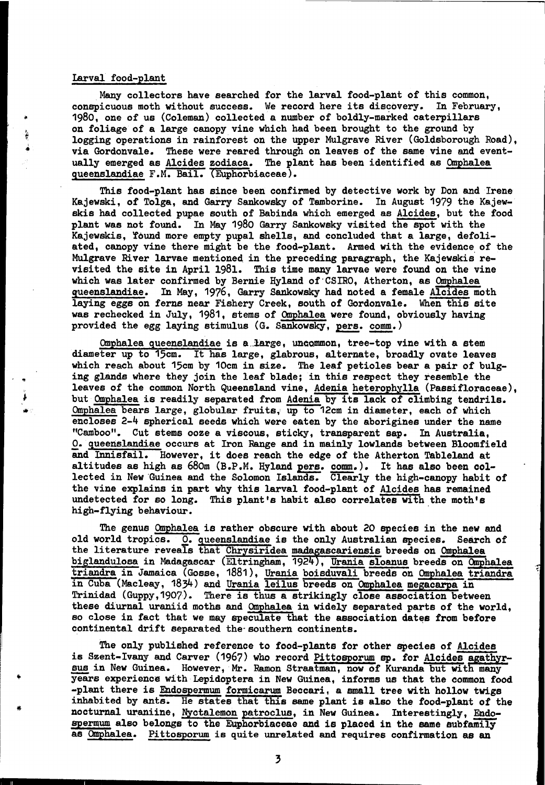#### Larval food-plant

Many collectors have searched for the larval food-plant of this common, conspicuous moth without success. We record here its discovery. In February, 1980, one of us (Coleman) collected a number of boldly-marked caterpillars on foliage of a large canopy vine which had been brought to the ground by logging operations in rainforest on the upper Mulgrave River (Goldsborough Road), via Gordonvale. These were reared through on leaves of the same vine and eventually emerged as Alcides zodiaca. The plant has been identified as Omphalea queenslandiae F.M. Bail. (Euphorbiaceae).

This food-plant has since been confirmed by detective work by Don and Irene Kajewski, of Tolga, and Garry Sankowsky of Tamborine. In August 1979 the Kajewskis had collected pupae south of Babinda which emerged as Alcides, but the food plant was not found. In May 1980 Garry Sankowsky visited the spot with the Kajewskis, Yound more empty pupal shells, and concluded that a large, defoliated, canopy vine there might be the food-plant. Armed with the evidence of the Mulgrave River larvae mentioned in the preceding paragraph, the Kajewskis revisited the site in April 1981. This time many larvae were found on the vine which was later confirmed by Bernie Hyland of CSIRO, Atherton, as Omphalea queenslandiae. In May, 1976, Garry Sankowsky had noted a female Alcides moth laying eggs on ferns near Fishery Creek, south of Gordonvale. When this site was rechecked in July, 1981, stems of Omphalea were found, obviously having provided the egg laying stimulus (G. Sankowsky, pers. comm.)

Omphalea queenslandiae is a large, uncommon, tree-top vine with a stem diameter up to 15cm. It has large, glabrous, alternate, broadly ovate leaves which reach about 15cm by 10cm in size. The leaf petioles bear a pair of bulging glands where they join the leaf blade; in this respect they resemble the leaves of the common North Queensland vine, Adenia heterophylla (Passifloraceae), but Omphalea is readily separated from Adenia by its lack of climbing tendrils. Omphalea bears large, globular fruits, up to 12cm in diameter, each of which encloses 2-4 spherical seeds which were eaten by the aborigines under the name "Camboo". Cut stems ooze a viscous, sticky, transparent sap. In Australia, O. queenslandiae occurs at Iron Range and in mainly lowlands between Bloomfield and Innisfail. However, it does reach the edge of the Atherton Tableland at altitudes as high as 680m (B.P.M. Hyland pers. comm.). It has also been col-<br>lected in New Guinea and the Solomon Islands. Clearly the high-canopy habit of the vine explains in part why this larval food-plant of Alcides has remained undetected for so long. This plant's habit also correlates with the moth's high-flying behaviour.

The genus Omphalea is rather obscure with about 20 species in the new and old world tropics. O. queenslandiae is the only Australian species. Search of the literature reveals that Chrysinidea madagascariensis breeds on Omphalea<br>biglandulosa in Madagascar (Eltringham, 1924), Urania sloanus breeds on Omphalea triandra in Jamaica (Gosse, 1881), Urania boisduvali breeds on Omphalea triandra in Cuba (Macleay, 1834) and Urania leilus breeds on Omphalea megacarpa in Trinidad (Guppy, 1907). There is thus a strikingly close association between these diurnal uraniid moths and Omphalea in widely separated parts of the world, so close in fact that we may speculate that the association dates from before continental drift separated the southern continents.

The only published reference to food-plants for other species of Alcides is Szent-Ivany and Carver (1967) who record Pittosporum sp. for Alcides agathyrsus in New Guinea. However, Mr. Ramon Straatman, now of Kuranda but with many years experience with Lepidoptera in New Guinea, informs us that the common food -plant there is Endospermum formicarum Beccari, a small tree with hollow twigs inhabited by ants. He states that this same plant is also the food-plant of the nocturnal uraniine, Nyctalemon patroclus, in New Guinea. Interestingly, Endospermum also belongs to the Euphorbiaceae and is placed in the same subfamily as Omphalea. Pittosporum is quite unrelated and requires confirmation as an

 $\overline{\mathbf{z}}$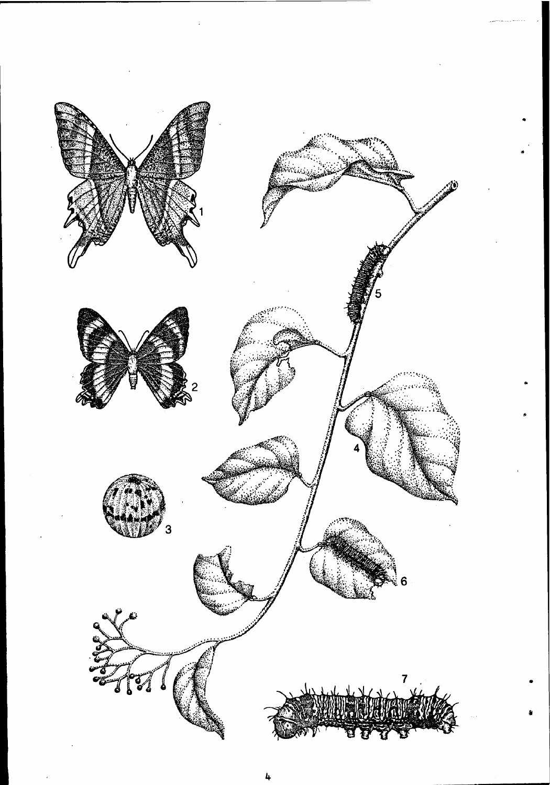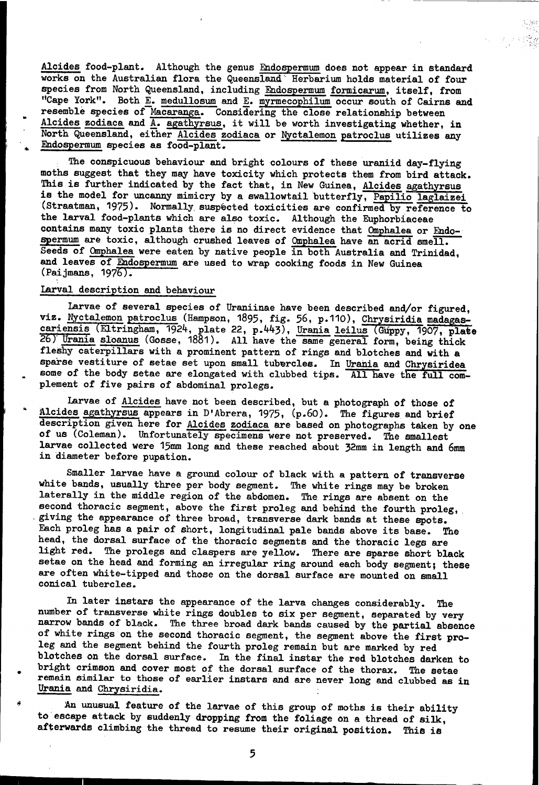Alcides food-plant. Although the genus Endospermum does not appear in standard works on the Australian flora the Queensland Herbarium holds material of four species from North Queensland, including Endospermum formicarum, itself, from "Cape York". Both E. medullosum and E. myrmecophilum occur south of Cairns and resemble species of Macaranga. Considering the close relationship between Alcides zodiaca and  $\overline{A}$ . agathyrsus, it will be worth investigating whether, in North Queensland, either Alcides zodiaca or Nyctalemon patroclus utilizes any Endospermum species as food-plant.

The conspicuous behaviour and bright colours of these uraniid day-flying moths suggest that they may have toxicity which protects them from bird attack. This is further indicated by the fact that, in New Guinea, Alcides agathyrsus is the model for uncanny mimicry by a swallowtail butterfly, Papilio laglaizei (Straatman, 1975). Normally suspected toxicities are confirmed by reference to the larval food-plants which are also toxic. Although the Euphorbiaceae contains many toxic plants there is no direct evidence that Omphalea or Endospermum are toxic, although crushed leaves of Omphalea have an acrid smell. Seeds of Omphalea were eaten by native people in both Australia and Trinidad, and leaves of Endospermum are used to wrap cooking foods in New Guinea  $(Paijmans, 1976)$ .

# Larval description and behaviour

Larvae of several species of Uraniinae have been described and/or figured, viz. Nyctalemon patroclus (Hampson, 1895, fig. 56, p.110), Chrysiridia madagascariensis (Eltringham, 1924, plate 22, p.443), Urania leilus (Güppy, 1907, plate 26) Urania sloanus (Gosse, 1881). All have the same general form, being thick fleshy caterpillars with a prominent pattern of rings and blotches and with a sparse vestiture of setae set upon small tubercles. In Urania and Chrysiridea some of the body setae are elongated with clubbed tips. All have the full complement of five pairs of abdominal prolegs.

Larvae of Alcides have not been described, but a photograph of those of Alcides agathyrsus appears in D'Abrera, 1975, (p.60). The figures and brief description given here for Alcides zodiaca are based on photographs taken by one of us (Coleman). Unfortunately specimens were not preserved. The smallest larvae collected were 15mm long and these reached about 32mm in length and 6mm in diameter before pupation.

Smaller larvae have a ground colour of black with a pattern of transverse white bands, usually three per body segment. The white rings may be broken laterally in the middle region of the abdomen. The rings are absent on the second thoracic segment, above the first proleg and behind the fourth proleg, giving the appearance of three broad, transverse dark bands at these spots. Each proleg has a pair of short, longitudinal pale bands above its base. The head, the dorsal surface of the thoracic segments and the thoracic legs are light red. The prolegs and claspers are yellow. There are sparse short black setae on the head and forming an irregular ring around each body segment; these are often white-tipped and those on the dorsal surface are mounted on small conical tubercles.

In later instars the appearance of the larva changes considerably. The number of transverse white rings doubles to six per segment, separated by very narrow bands of black. The three broad dark bands caused by the partial absence of white rings on the second thoracic segment, the segment above the first proleg and the segment behind the fourth proleg remain but are marked by red blotches on the dorsal surface. In the final instar the red blotches darken to bright crimson and cover most of the dorsal surface of the thorax. The setae remain similar to those of earlier instars and are never long and clubbed as in Urania and Chrysiridia.

An unusual feature of the larvae of this group of moths is their ability to escape attack by suddenly dropping from the foliage on a thread of silk, afterwards climbing the thread to resume their original position. This is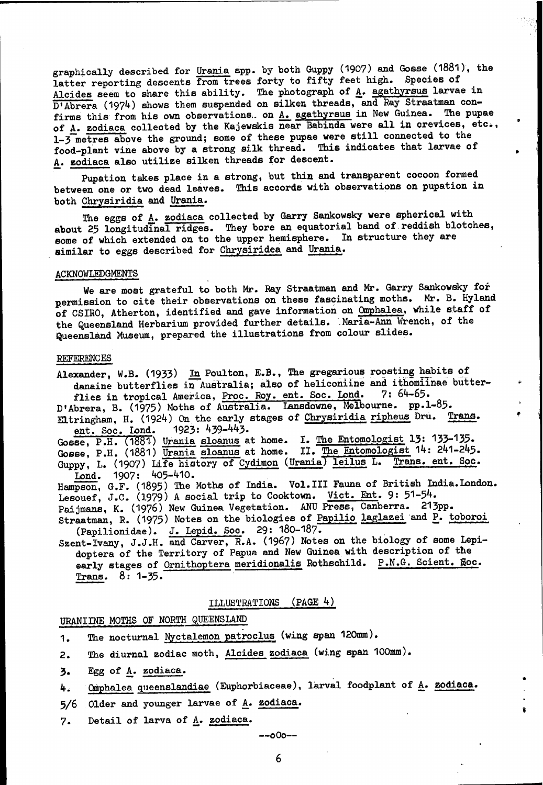graphically described for Urania spp. by both Guppy (1907) and Gosse (1881), the latter reporting descents from trees forty to fifty feet high. Species of Alcides seem to share this ability. The photograph of A. agathyrsus larvae in D'Abrera (1974) shows them suspended on silken threads, and Ray Straatman confirms this from his own observations. on A. agathyrsus in New Guinea. The pupae of A. zodiaca collected by the Kajewskis near Babinda were all in crevices, etc., 1-3 metres above the ground; some of these pupae were still connected to the food-plant vine above by a strong silk thread. This indicates that larvae of A. zodiaca also utilize silken threads for descent.

Pupation takes place in a strong, but thin and transparent cocoon formed between one or two dead leaves. This accords with observations on pupation in both Chrysiridia and Urania.

The eggs of A. zodiaca collected by Garry Sankowsky were spherical with about 25 longitudinal ridges. They bore an equatorial band of reddish blotches, some of which extended on to the upper hemisphere. In structure they are similar to eggs described for Chrysiridea and Urania.

#### **ACKNOWLEDGMENTS**

We are most grateful to both Mr. Ray Straatman and Mr. Garry Sankowsky for permission to cite their observations on these fascinating moths. Mr. B. Hyland of CSIRO, Atherton, identified and gave information on Omphalea, while staff of the Queensland Herbarium provided further details. Maria-Ann Wrench, of the Queensland Museum, prepared the illustrations from colour slides.

#### **REFERENCES**

Alexander, W.B. (1933) In Poulton, E.B., The gregarious roosting habits of danaine butterflies in Australia; also of heliconiine and ithomiinae butter- $7:64-65.$ flies in tropical America, Proc. Roy. ent. Soc. Lond. D'Abrera, B. (1975) Moths of Australia. Lansdowne, Melbourne. pp.1-85. Eltringham, H. (1924) On the early stages of Chrysiridia ripheus Dru. Trans. ent. Soc. Lond. 1923: 439-443. Gosse, P.H. (1881) Urania sloanus at home. I. The Entomologist 13: 133-135. II. The Entomologist 14: 241-245. Gosse, P.H. (1881) Urania sloanus at home. Guppy, L. (1907) Life history of Cydimon (Urania) leilus L. Trans. ent. Soc. Lond. 1907: 405-410. Hampson, G.F. (1895) The Moths of India. Vol. III Fauna of British India. London. Lesouef, J.C. (1979) A social trip to Cooktown. Vict. Ent. 9: 51-54. Paijmans, K. (1976) New Guinea Vegetation. ANU Press, Canberra. 213pp.

Straatman, R. (1975) Notes on the biologies of Papilio laglazei and P. toboroi (Papilionidae). J. Lepid. Soc. 29: 180-187.

Szent-Ivany, J.J.H. and Carver, R.A. (1967) Notes on the biology of some Lepidoptera of the Territory of Papua and New Guinea with description of the early stages of Ornithoptera meridionalis Rothschild. P.N.G. Scient. Soc. Trans.  $8: 1-35$ .

> ILLUSTRATIONS  $(PAGE<sub>4</sub>)$

# URANIINE MOTHS OF NORTH QUEENSLAND

The nocturnal Nyctalemon patroclus (wing span 120mm). 1.

The diurnal zodiac moth, Alcides zodiaca (wing span 100mm).  $2.$ 

Egg of A. zodiaca. 3.

Omphalea queenslandiae (Euphorbiaceae), larval foodplant of A. zodiaca. 4.

5/6 Older and younger larvae of A. zodiaca.

Detail of larva of A. zodiaca.  $7.$ 

 $--000--$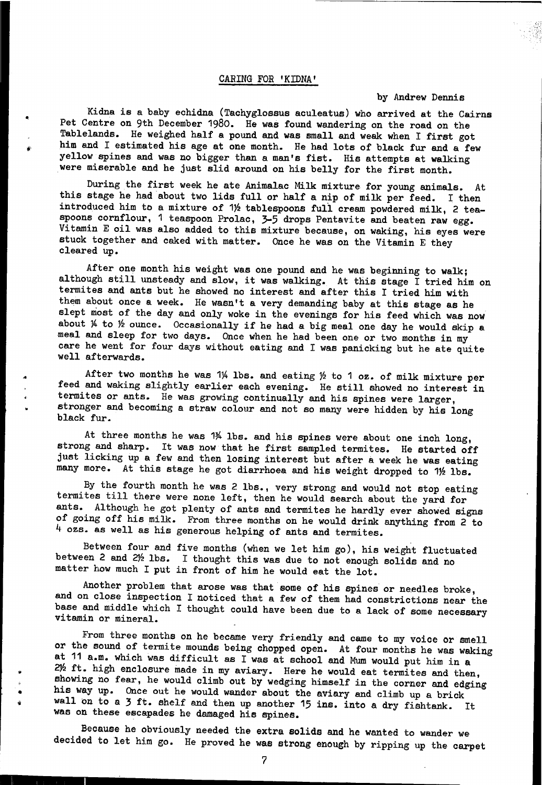### CARING FOR 'KIDNA'

## by Andrew Dennis

jj

Kidna is a baby echidna (Tachyglossus aculeatus) who arrived at the Cairns<br>Pet Centre on 9th December 1980. He was found wandering on the road on the<br>Tablelands. He weighed half a pound and was small and weak when I first were miserable and he just slid around on his belly for the first month.

During the first week he ate Animalac Milk mixture for young animals. At this stage he had about two lids full or half a nip of milk per feed. I then introduced him to a mixture of  $1\frac{1}{2}$  tablespoons full cream powder Vitamin E oil was also added to this mixture because, on waking, his eyes were stuck together and caked with matter. Once he was on the Vitamin E they cleared up.

After one month his weight was one pound and he was beginning to walk;<br>although still unsteady and slow, it was walking. At this stage I tried him on termites and ants but he showed no interest and after this I tried him with<br>them about once a week. He wasn't a very demanding baby at this stage as he<br>slept most of the day and only woke in the evenings for his feed whic meal and sleep for two days. Once when he had been one or two months in my care he went for four days without eating and I was panicking but he ate quite well afterwards.

After two months he was  $1\frac{1}{4}$  lbs. and eating  $\frac{1}{2}$  to  $1$  oz. of milk mixture per feed and waking slightly earlier each evening. He still showed no interest in termites or ants. He was growing continually and hi

At three months he was 1% lbs. and his spines were about one inch long, strong and sharp. It was now that he first sampled termites. He started off just licking up a few and then losing interest but after a week he was eat many more. At this stage he got diarrhoea and his weight dropped to 1% lbs.

By the fourth month he was 2 lbs., very strong and would not stop eating termites till there were none left, then he would search about the yard for ants. Although he got plenty of ants and termites he hardly ever showed signs of going off his milk. From three months on he would drink anything from 2 to  $4$  ozs. as well as his generous helping of ants and termites.

Between four and five months (when we let him go), his weight fluctuated between 2 and  $2\frac{h}{2}$  lbs. I thought this was due to not enough solids and no matter how much I put in front of him he would eat the lot.

Another problem that arose was that some of his spines or needles broke,<br>and on close inspection I noticed that a few of them had constrictions near the base and middle which I thought could have been due to a lack of some necessary vitamin or mineral.

From three months on he became very friendly and came to my voice or smell<br>or the sound of termite mounds being chopped open. At four months he was waking<br>at 11 a.m. which was difficult as I was at school and Mum would put showing no fear, he would climb out by wedging himself in the corner and edging his way up. Once out he would wander about the aviary and climb up a brick wall on to a 3 ft. shelf and then up another 15 ins. into a dry fis

a

a t\_

Because he obviously needed the extra solids and he wanted to wander we decided to let him go. He proved he was strong enough by ripping up the carpet

7